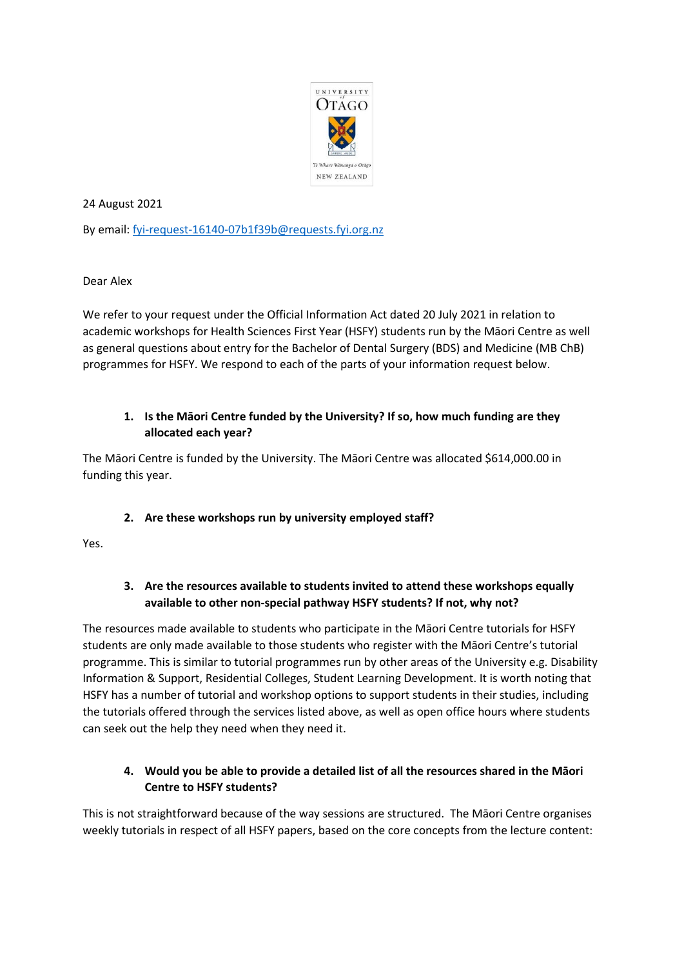

24 August 2021

By email: [fyi-request-16140-07b1f39b@requests.fyi.org.nz](mailto:xxxxxxxxxxxxxxxxxxxxxxxxxx@xxxxxxxx.xxx.xxx.xx)

Dear Alex

We refer to your request under the Official Information Act dated 20 July 2021 in relation to academic workshops for Health Sciences First Year (HSFY) students run by the Māori Centre as well as general questions about entry for the Bachelor of Dental Surgery (BDS) and Medicine (MB ChB) programmes for HSFY. We respond to each of the parts of your information request below.

# **1. Is the Māori Centre funded by the University? If so, how much funding are they allocated each year?**

The Māori Centre is funded by the University. The Māori Centre was allocated \$614,000.00 in funding this year.

## **2. Are these workshops run by university employed staff?**

Yes.

## **3. Are the resources available to students invited to attend these workshops equally available to other non-special pathway HSFY students? If not, why not?**

The resources made available to students who participate in the Māori Centre tutorials for HSFY students are only made available to those students who register with the Māori Centre's tutorial programme. This is similar to tutorial programmes run by other areas of the University e.g. Disability Information & Support, Residential Colleges, Student Learning Development. It is worth noting that HSFY has a number of tutorial and workshop options to support students in their studies, including the tutorials offered through the services listed above, as well as open office hours where students can seek out the help they need when they need it.

# **4. Would you be able to provide a detailed list of all the resources shared in the Māori Centre to HSFY students?**

This is not straightforward because of the way sessions are structured. The Māori Centre organises weekly tutorials in respect of all HSFY papers, based on the core concepts from the lecture content: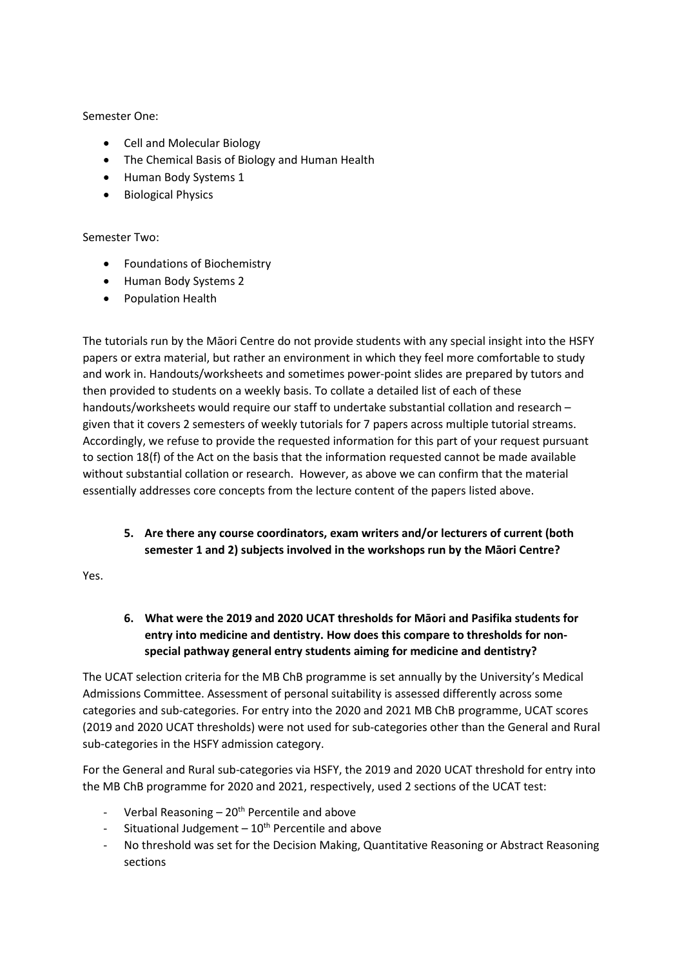#### Semester One:

- Cell and Molecular Biology
- The Chemical Basis of Biology and Human Health
- Human Body Systems 1
- Biological Physics

#### Semester Two:

- Foundations of Biochemistry
- Human Body Systems 2
- Population Health

The tutorials run by the Māori Centre do not provide students with any special insight into the HSFY papers or extra material, but rather an environment in which they feel more comfortable to study and work in. Handouts/worksheets and sometimes power-point slides are prepared by tutors and then provided to students on a weekly basis. To collate a detailed list of each of these handouts/worksheets would require our staff to undertake substantial collation and research – given that it covers 2 semesters of weekly tutorials for 7 papers across multiple tutorial streams. Accordingly, we refuse to provide the requested information for this part of your request pursuant to section 18(f) of the Act on the basis that the information requested cannot be made available without substantial collation or research. However, as above we can confirm that the material essentially addresses core concepts from the lecture content of the papers listed above.

**5. Are there any course coordinators, exam writers and/or lecturers of current (both semester 1 and 2) subjects involved in the workshops run by the Māori Centre?**

Yes.

**6. What were the 2019 and 2020 UCAT thresholds for Māori and Pasifika students for entry into medicine and dentistry. How does this compare to thresholds for nonspecial pathway general entry students aiming for medicine and dentistry?**

The UCAT selection criteria for the MB ChB programme is set annually by the University's Medical Admissions Committee. Assessment of personal suitability is assessed differently across some categories and sub-categories. For entry into the 2020 and 2021 MB ChB programme, UCAT scores (2019 and 2020 UCAT thresholds) were not used for sub-categories other than the General and Rural sub-categories in the HSFY admission category.

For the General and Rural sub-categories via HSFY, the 2019 and 2020 UCAT threshold for entry into the MB ChB programme for 2020 and 2021, respectively, used 2 sections of the UCAT test:

- Verbal Reasoning  $20<sup>th</sup>$  Percentile and above
- Situational Judgement  $-10^{th}$  Percentile and above
- No threshold was set for the Decision Making, Quantitative Reasoning or Abstract Reasoning sections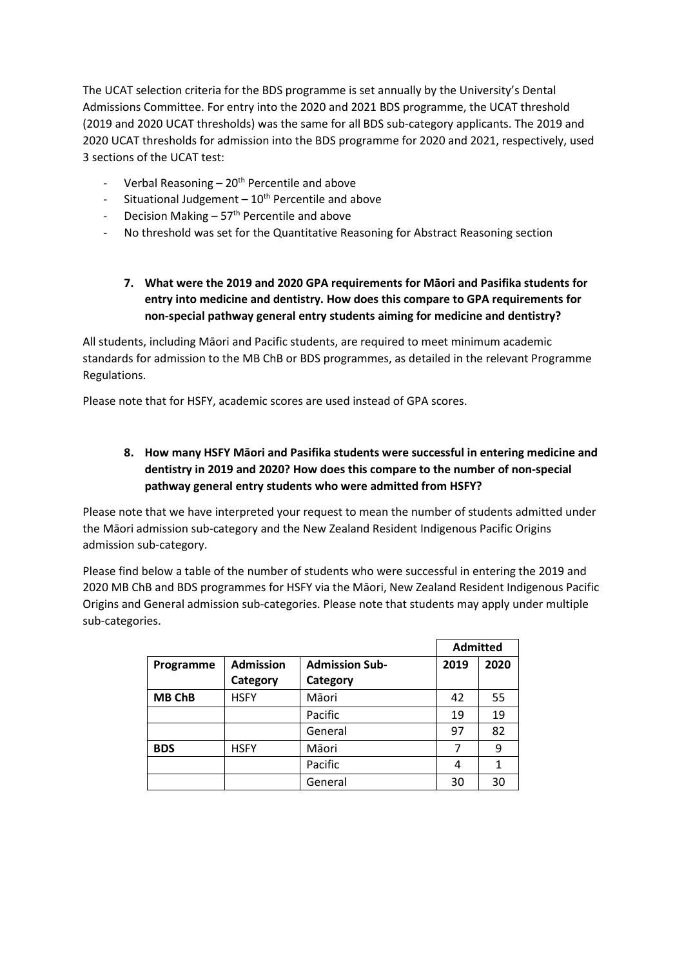The UCAT selection criteria for the BDS programme is set annually by the University's Dental Admissions Committee. For entry into the 2020 and 2021 BDS programme, the UCAT threshold (2019 and 2020 UCAT thresholds) was the same for all BDS sub-category applicants. The 2019 and 2020 UCAT thresholds for admission into the BDS programme for 2020 and 2021, respectively, used 3 sections of the UCAT test:

- Verbal Reasoning  $-20<sup>th</sup>$  Percentile and above
- Situational Judgement  $-10^{th}$  Percentile and above
- Decision Making  $-57<sup>th</sup>$  Percentile and above
- No threshold was set for the Quantitative Reasoning for Abstract Reasoning section

# **7. What were the 2019 and 2020 GPA requirements for Māori and Pasifika students for entry into medicine and dentistry. How does this compare to GPA requirements for non-special pathway general entry students aiming for medicine and dentistry?**

All students, including Māori and Pacific students, are required to meet minimum academic standards for admission to the MB ChB or BDS programmes, as detailed in the relevant Programme Regulations.

Please note that for HSFY, academic scores are used instead of GPA scores.

## **8. How many HSFY Māori and Pasifika students were successful in entering medicine and dentistry in 2019 and 2020? How does this compare to the number of non-special pathway general entry students who were admitted from HSFY?**

Please note that we have interpreted your request to mean the number of students admitted under the Māori admission sub-category and the New Zealand Resident Indigenous Pacific Origins admission sub-category.

Please find below a table of the number of students who were successful in entering the 2019 and 2020 MB ChB and BDS programmes for HSFY via the Māori, New Zealand Resident Indigenous Pacific Origins and General admission sub-categories. Please note that students may apply under multiple sub-categories.

|               |                  |                       | <b>Admitted</b> |      |
|---------------|------------------|-----------------------|-----------------|------|
| Programme     | <b>Admission</b> | <b>Admission Sub-</b> | 2019            | 2020 |
|               | Category         | Category              |                 |      |
| <b>MB ChB</b> | <b>HSFY</b>      | Māori                 | 42              | 55   |
|               |                  | Pacific               | 19              | 19   |
|               |                  | General               | 97              | 82   |
| <b>BDS</b>    | <b>HSFY</b>      | Māori                 | 7               | 9    |
|               |                  | Pacific               | 4               | 1    |
|               |                  | General               | 30              | 30   |